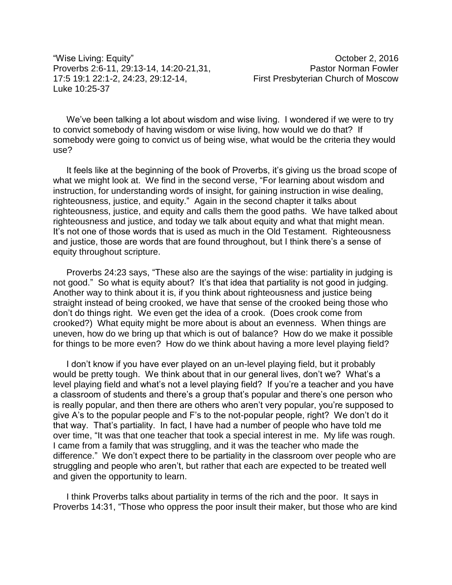"Wise Living: Equity" October 2, 2016 Proverbs 2:6-11, 29:13-14, 14:20-21,31, Pastor Norman Fowler 17:5 19:1 22:1-2, 24:23, 29:12-14, First Presbyterian Church of Moscow Luke 10:25-37

We've been talking a lot about wisdom and wise living. I wondered if we were to try to convict somebody of having wisdom or wise living, how would we do that? If somebody were going to convict us of being wise, what would be the criteria they would use?

It feels like at the beginning of the book of Proverbs, it's giving us the broad scope of what we might look at. We find in the second verse, "For learning about wisdom and instruction, for understanding words of insight, for gaining instruction in wise dealing, righteousness, justice, and equity." Again in the second chapter it talks about righteousness, justice, and equity and calls them the good paths. We have talked about righteousness and justice, and today we talk about equity and what that might mean. It's not one of those words that is used as much in the Old Testament. Righteousness and justice, those are words that are found throughout, but I think there's a sense of equity throughout scripture.

Proverbs 24:23 says, "These also are the sayings of the wise: partiality in judging is not good." So what is equity about? It's that idea that partiality is not good in judging. Another way to think about it is, if you think about righteousness and justice being straight instead of being crooked, we have that sense of the crooked being those who don't do things right. We even get the idea of a crook. (Does crook come from crooked?) What equity might be more about is about an evenness. When things are uneven, how do we bring up that which is out of balance? How do we make it possible for things to be more even? How do we think about having a more level playing field?

I don't know if you have ever played on an un-level playing field, but it probably would be pretty tough. We think about that in our general lives, don't we? What's a level playing field and what's not a level playing field? If you're a teacher and you have a classroom of students and there's a group that's popular and there's one person who is really popular, and then there are others who aren't very popular, you're supposed to give A's to the popular people and F's to the not-popular people, right? We don't do it that way. That's partiality. In fact, I have had a number of people who have told me over time, "It was that one teacher that took a special interest in me. My life was rough. I came from a family that was struggling, and it was the teacher who made the difference." We don't expect there to be partiality in the classroom over people who are struggling and people who aren't, but rather that each are expected to be treated well and given the opportunity to learn.

I think Proverbs talks about partiality in terms of the rich and the poor. It says in Proverbs 14:31, "Those who oppress the poor insult their maker, but those who are kind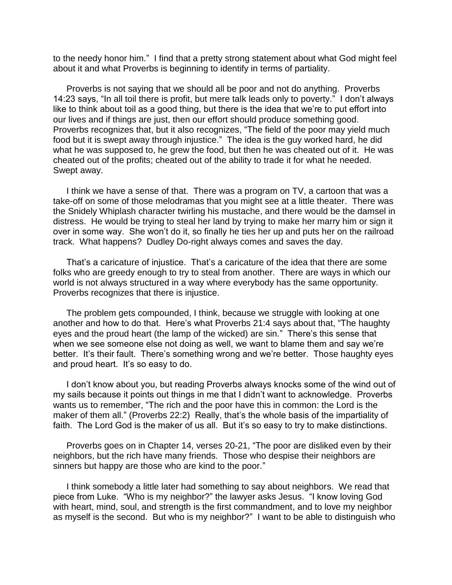to the needy honor him." I find that a pretty strong statement about what God might feel about it and what Proverbs is beginning to identify in terms of partiality.

Proverbs is not saying that we should all be poor and not do anything. Proverbs 14:23 says, "In all toil there is profit, but mere talk leads only to poverty." I don't always like to think about toil as a good thing, but there is the idea that we're to put effort into our lives and if things are just, then our effort should produce something good. Proverbs recognizes that, but it also recognizes, "The field of the poor may yield much food but it is swept away through injustice." The idea is the guy worked hard, he did what he was supposed to, he grew the food, but then he was cheated out of it. He was cheated out of the profits; cheated out of the ability to trade it for what he needed. Swept away.

I think we have a sense of that. There was a program on TV, a cartoon that was a take-off on some of those melodramas that you might see at a little theater. There was the Snidely Whiplash character twirling his mustache, and there would be the damsel in distress. He would be trying to steal her land by trying to make her marry him or sign it over in some way. She won't do it, so finally he ties her up and puts her on the railroad track. What happens? Dudley Do-right always comes and saves the day.

That's a caricature of injustice. That's a caricature of the idea that there are some folks who are greedy enough to try to steal from another. There are ways in which our world is not always structured in a way where everybody has the same opportunity. Proverbs recognizes that there is injustice.

The problem gets compounded, I think, because we struggle with looking at one another and how to do that. Here's what Proverbs 21:4 says about that, "The haughty eyes and the proud heart (the lamp of the wicked) are sin." There's this sense that when we see someone else not doing as well, we want to blame them and say we're better. It's their fault. There's something wrong and we're better. Those haughty eyes and proud heart. It's so easy to do.

I don't know about you, but reading Proverbs always knocks some of the wind out of my sails because it points out things in me that I didn't want to acknowledge. Proverbs wants us to remember, "The rich and the poor have this in common: the Lord is the maker of them all." (Proverbs 22:2) Really, that's the whole basis of the impartiality of faith. The Lord God is the maker of us all. But it's so easy to try to make distinctions.

Proverbs goes on in Chapter 14, verses 20-21, "The poor are disliked even by their neighbors, but the rich have many friends. Those who despise their neighbors are sinners but happy are those who are kind to the poor."

I think somebody a little later had something to say about neighbors. We read that piece from Luke. "Who is my neighbor?" the lawyer asks Jesus. "I know loving God with heart, mind, soul, and strength is the first commandment, and to love my neighbor as myself is the second. But who is my neighbor?" I want to be able to distinguish who